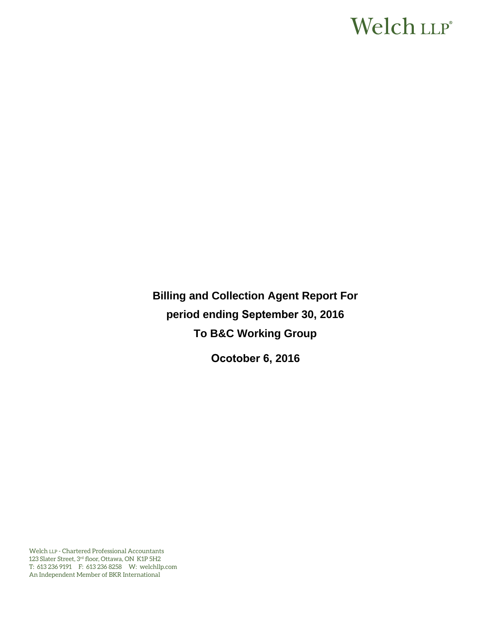# Welch LLP®

**Billing and Collection Agent Report For period ending September 30, 2016 To B&C Working Group** 

**Ocotober 6, 2016**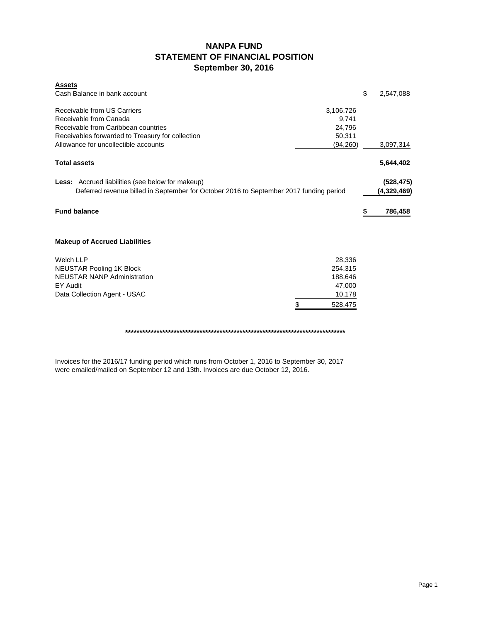# **NANPA FUND STATEMENT OF FINANCIAL POSITION September 30, 2016**

| <b>Assets</b><br>Cash Balance in bank account                                          |               | \$<br>2,547,088 |
|----------------------------------------------------------------------------------------|---------------|-----------------|
| Receivable from US Carriers                                                            | 3,106,726     |                 |
| Receivable from Canada                                                                 | 9,741         |                 |
| Receivable from Caribbean countries                                                    | 24,796        |                 |
| Receivables forwarded to Treasury for collection                                       | 50,311        |                 |
| Allowance for uncollectible accounts                                                   | (94, 260)     | 3,097,314       |
| <b>Total assets</b>                                                                    |               | 5,644,402       |
| <b>Less:</b> Accrued liabilities (see below for makeup)                                |               | (528, 475)      |
| Deferred revenue billed in September for October 2016 to September 2017 funding period |               | (4,329,469)     |
| <b>Fund balance</b>                                                                    |               | 786,458         |
| <b>Makeup of Accrued Liabilities</b>                                                   |               |                 |
| <b>Welch LLP</b>                                                                       | 28,336        |                 |
| NEUSTAR Pooling 1K Block                                                               | 254,315       |                 |
| <b>NEUSTAR NANP Administration</b>                                                     | 188,646       |                 |
| EY Audit                                                                               | 47,000        |                 |
| Data Collection Agent - USAC                                                           | 10,178        |                 |
|                                                                                        | \$<br>528,475 |                 |
|                                                                                        |               |                 |

**\*\*\*\*\*\*\*\*\*\*\*\*\*\*\*\*\*\*\*\*\*\*\*\*\*\*\*\*\*\*\*\*\*\*\*\*\*\*\*\*\*\*\*\*\*\*\*\*\*\*\*\*\*\*\*\*\*\*\*\*\*\*\*\*\*\*\*\*\*\*\*\*\*\*\*\*\***

Invoices for the 2016/17 funding period which runs from October 1, 2016 to September 30, 2017 were emailed/mailed on September 12 and 13th. Invoices are due October 12, 2016.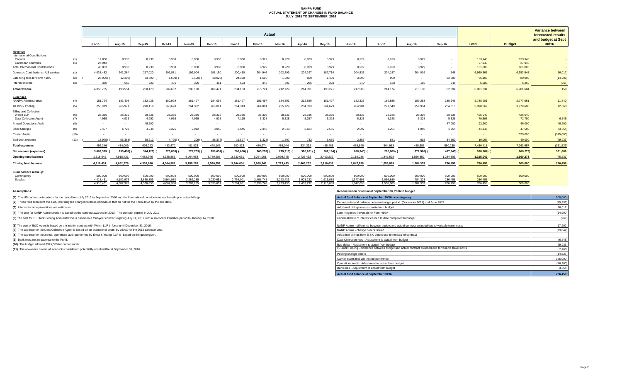#### **NANPA FUND ACTUAL STATEMENT OF CHANGES IN FUND BALANCE JULY 2015 TO SEPTEMBER 2016**

|                                                |            |                      |                      |                      |                      |                      |                      |                      | Actual               |                           |                      |                      |                      |                      |                    |                    |                    |                   | <b>Variance between</b>                  |
|------------------------------------------------|------------|----------------------|----------------------|----------------------|----------------------|----------------------|----------------------|----------------------|----------------------|---------------------------|----------------------|----------------------|----------------------|----------------------|--------------------|--------------------|--------------------|-------------------|------------------------------------------|
|                                                |            |                      |                      |                      |                      |                      |                      |                      |                      |                           |                      |                      |                      |                      |                    |                    |                    |                   | forecasted results<br>and budget at Sept |
|                                                |            | <b>Jul-15</b>        | Aug-15               | Sep-15               | Oct-15               | <b>Nov-15</b>        | <b>Dec-15</b>        | <b>Jan-16</b>        | Feb-16               | Mar-16                    | Apr-16               | Mav-16               | <b>Jun-16</b>        | <b>Jul-16</b>        | Aug-16             | Sep-16             | <b>Total</b>       | <b>Budget</b>     | 30/16                                    |
| Revenue<br><b>International Contributions</b>  |            |                      |                      |                      |                      |                      |                      |                      |                      |                           |                      |                      |                      |                      |                    |                    |                    |                   |                                          |
| Canada<br>Caribbean countries                  | (1)<br>(1) | 17,860<br>27.943     | 8,930<br>$\sim$      | 8,930<br>$\sim$      | 8,930<br>$\sim$      | 8,930<br>$\sim$      | 8,930                | 8,930<br>$\sim 100$  | 8,929<br>$\sim$      | 8,929<br>$\sim$ 100 $\mu$ | 8,929<br>$\sim$      | 8,929<br>$\sim$ $-$  | 8,929<br>$\sim$      | 8,929<br>$\sim$      | 8,929<br>$\sim$    | $\sim$             | 133,943<br>27,943  | 133,943<br>27,943 |                                          |
| <b>Total International Contributions</b>       |            | 45,803               | 8,930                | 8,930                | 8,930                | 8,930                | 8,930                | 8,930                | 8,929                | 8,929                     | 8,929                | 8,929                | 8,929                | 8,929                | 8.929              | $\sim$             | 161,886            | 161,886           | $\sim$ $-$                               |
| Domestic Contributions - US carriers           | (1)        | 4,038,482            | 201,264              | 217,020              | 201,871              | 199,904              | 198,150              | 200,430              | 204,946              | 202,299                   | 204,297              | 187,714              | 204,837              | 204,187              | 204,016            | 148                | 6,669,565          | 6,653,548         | 16,017                                   |
| Late filing fees for Form 499A                 | (2)        | 28,900)              | 12,300)              | 33,600               | 1,600)               | 3,100                | 18,020)              | 24,320               | 1,500                | 1,200                     | 600                  | 1,400                | 3,500                | 900                  |                    | 62,000             | 65,100             | 80,000            | (14,900)                                 |
| Interest income                                | (3)        | 350                  | 660                  | 623                  | 401                  | 396                  | 411                  | 503                  | 346                  | 301                       | 265                  | 228                  | 240                  | 158                  | 155                | 246                | 5,283              | 6.250             | (967)                                    |
| <b>Total revenue</b>                           |            | 4.055.735            | 198,554              | 260.173              | 209,602              | 206,130              | 189.471              | 234.183              | 215,721              | 212,729                   | 214.091              | 198,271              | 217,506              | 214.174              | 213,100            | 62.394             | 6.901.834          | 6.901.684         | 150                                      |
| <b>Expenses</b><br><b>NANPA Administration</b> | (4)        | 181,724              | 183,408              | 182,926              | 182,999              | 181,497              | 184,095              | 181,497              | 181,497              | 184,801                   | 212,850              | 181,497              | 182,326              | 189,885              | 189,253            | 188,646            | 2,788,901          | 2,777,061         | 11,840                                   |
| 1K Block Pooling                               | (5)        | 253,919              | 266,971              | 270,119              | 268,620              | 264,362              | 266,061              | 264,343              | 264,801              | 265,729                   | 284,393              | 264,679              | 264,904              | 277,549              | 259,904            | 254,315            | 3,990,669          | 3,978,606         | 12,063                                   |
| <b>Billing and Collection</b>                  |            |                      |                      |                      |                      |                      |                      |                      |                      |                           |                      |                      |                      |                      |                    |                    |                    |                   |                                          |
| Welch LLP                                      | (6)        | 28,336               | 28,336               | 28,336               | 28,336               | 28,336               | 28,336               | 28,336               | 28,336               | 28,336                    | 28,336               | 28,336               | 28,336               | 28,336               | 28,336             | 28,336             | 425,040            | 425,040           |                                          |
| Data Collection Agent                          | (7)        | 4,935                | 4,935                | 4,952                | 4,935                | 4,935                | 4,935                | 7,115                | 5,328                | 5,328                     | 5,357                | 5,328                | 5,328                | 5,328                | 5,328              | 5.328              | 79,395             | 72,750            | 6,645                                    |
| <b>Annual Operations Audit</b>                 | (8)        | $\sim$ $-$           | $\sim$               | 45,200               | $\sim$               | $\sim$ $-$           | $\sim$               | $\sim$               |                      | $\sim$                    | $\sim$               |                      | $\sim$               | $\sim$               | $\overline{a}$     | 47.000             | 92,200             | 46,000            | 46,200                                   |
| <b>Bank Charges</b>                            | (9)        | 2.407                | 6.727                | 4,248                | 3.375                | 2,912                | 3.055                | 2.645                | 2.340                | 2.043                     | 2.624                | 2.565                | 2.097                | 3.204                | 1.950              | 1.954              | 44.146             | 47,500            | (3, 354)                                 |
| Carrier Audits                                 | (10)       | $\overline{a}$       | $\sim$               | $\sim$               | $\sim$               | $\sim$               | $\sim$               |                      |                      |                           |                      |                      |                      |                      |                    | $\sim$             |                    | 375,000           | (375,000)                                |
| Bad debt expense                               | (11)       | 18.975)              | 56,368)              | 68,512               | 4,795)               | 209)                 | 38,377)              | 16,897               | 1,328                | 1,807                     | 732                  | 3,060                | 2,855                | 681                  | 915                | 34,660             | 10,067             | 40,000            | (29, 933)                                |
| <b>Total expenses</b>                          |            | 452.346              | 434,009              | 604,293              | 483,470              | 481,833              | 448,105              | 500,833              | 480,974              | 488,044                   | 534,292              | 485,465              | 485,846              | 504,983              | 485,686            | 560,239            | 7,430,418          | 7,761,957         | (331, 539)                               |
| Net revenue (expenses)                         |            | 3,603,389            | 235,455)             | 344,120)             | 273,868)             | 275,703)             | 258,634)             | 266,650)             | 265,253)             | 275,315)                  | 320,201) (           | 287,194)             | 268,340)             | 290,809)             | 272,586) (         | 497,845)           | 528,584)           | 860,273)          | 331,689                                  |
| <b>Opening fund balance</b>                    |            | 1,315,042            | 4,918,431            | 4.682.976            | 4.338.856            | 4.064.988            | 3,789,285            | 3,530,651            | 3.264.001            | 2,998,748                 | 2,723,433            | 2,403,232            | 2,116,038            | 1,847,698            | 1,556,889          | 1,284,303          | 1,315,042          | 1,360,273         | (45, 231)                                |
| <b>Closing fund balance</b>                    |            | 4.918.431            | 4,682,976            | 4,338,856            | 4,064,988            | 3,789,285            | 3.530.651            | 3,264,001            | 2,998,748            | 2,723,433                 | 2,403,232            | 2,116,038            | 1,847,698            | 1,556,889            | 1,284,303          | 786,458            | 786,458            | 500,000           | 286,458                                  |
| Fund balance makeup:                           |            |                      |                      |                      |                      |                      |                      |                      |                      |                           |                      |                      |                      |                      |                    |                    |                    |                   |                                          |
| Contingency                                    |            | 500,000<br>4.418.431 | 500,000<br>4.182.976 | 500,000<br>3.838.856 | 500,000<br>3.564.988 | 500,000<br>3.289.285 | 500,000<br>3.030.651 | 500,000<br>2,764,001 | 500,000<br>2.498.748 | 500,000<br>2,223,433      | 500,000<br>1.903.232 | 500,000<br>1.616.038 | 500,000<br>1.347.698 | 500,000<br>1.056.889 | 500,000<br>784.303 | 500,000<br>286.458 | 500,000<br>286,458 | 500,000           |                                          |
| Surplus                                        |            | 4.918.431            | 4.682.976            | 4.338.856            | 4.064.988            | 3.789.285            | 3.530.651            | 3.264.001            | 2.998.748            | 2.723.433                 | 2.403.232            | 2.116.038            | 1.847.698            | 1.556.889            | 1.284.303          | 786,458            | 786.458            | 500,000           |                                          |

**(1)** The US carrier contributions for the period from July 2015 to September 2016 and the International contributions are based upon actual billings.

(2) These fees represent the \$100 late filing fee charged to those companies that do not file the Form 499A by the due date.

**(3)** Interest income projections are estimates

**(4)** The cost for NANP Administration is based on the contract awarded in 2013. The contract expires in July 2017.

(5) The cost for 1K Block Pooling Administration is based on a four-year contract expiring July 14, 2017 with a six-month transition period to January 14, 2018.

**(6)** The cost of B&C Agent is based on the interim contract with Welch LLP in force until December 31, 2016.

**(7)** The expense for the Data Collection Agent is based on an estimate of costs by USAC for the 2015 calendar year.

**(8)** The expense for the annual operations audit performed by Ernst & Young LLP is based on the quote given.

**(9)** Bank fees are an expense to the Fund.

**(10)** The budget allowed \$375,000 for carrier audits.

**(11)** The allowance covers all accounts considered potentially uncollectible at September 30, 2016.

**Assumptions: Reconciliation of actual at September 30, 2016 to budget**

| Actual fund balance at September 30/16 - contingency                                                  | 500,000   |
|-------------------------------------------------------------------------------------------------------|-----------|
| Decrease in fund balance between budget period (December 2014) and June 2015                          | (45, 231) |
| Additional billings over estimate from budget                                                         | 16,017    |
| Late filing fees (reversal) for Form 499A                                                             | (14,900)  |
| Underestimate of interest earned to date compared to budget                                           | (967)     |
| NANP Admin - difference between budget and actual contract awarded due to variable travel costs       | 17.202    |
| NANP Admin - change orders issued                                                                     | (29, 042) |
| Additional billings from B & C Agent due to renewal of contract                                       |           |
| Data Collection fees - Adjustment to actual from budget                                               | (6,645)   |
| Bad debts - Adjustment to actual from budget                                                          | 29,933    |
| IK Block Pooling - difference between budget and actual contract awarded due to variable travel costs | 2,460     |
| Pooling change orders                                                                                 | (14, 523) |
| Carrier audits that will not be performed                                                             | 375,000   |
| Operations Audit - Adjustment to actual from budget                                                   | (46, 200) |
| Bank fees - Adjustment to actual from budget                                                          | 3,354     |
| Actual fund balance at September 30/16                                                                | 786.458   |
|                                                                                                       |           |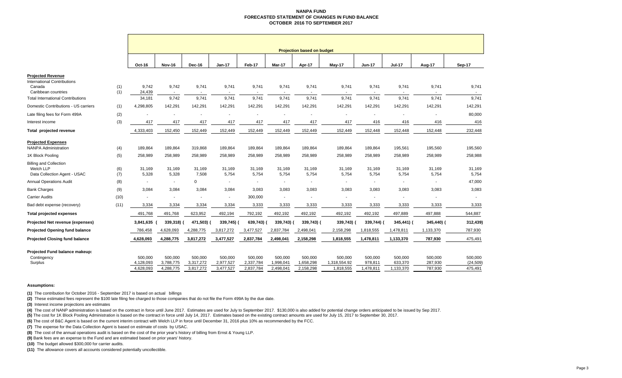#### **NANPA FUND FORECASTED STATEMENT OF CHANGES IN FUND BALANCE OCTOBER 2016 TO SEPTEMBER 2017**

|                                                                            |            | <b>Projection based on budget</b> |                                   |                                   |                                   |                                   |                                   |                                   |                                      |                                   |                                 |                               |                                 |
|----------------------------------------------------------------------------|------------|-----------------------------------|-----------------------------------|-----------------------------------|-----------------------------------|-----------------------------------|-----------------------------------|-----------------------------------|--------------------------------------|-----------------------------------|---------------------------------|-------------------------------|---------------------------------|
|                                                                            |            | Oct-16                            | <b>Nov-16</b>                     | Dec-16                            | <b>Jan-17</b>                     | Feb-17                            | Mar-17                            | Apr-17                            | May-17                               | <b>Jun-17</b>                     | <b>Jul-17</b>                   | Aug-17                        | Sep-17                          |
| <b>Projected Revenue</b>                                                   |            |                                   |                                   |                                   |                                   |                                   |                                   |                                   |                                      |                                   |                                 |                               |                                 |
| <b>International Contributions</b><br>Canada<br>Caribbean countries        | (1)<br>(1) | 9,742<br>24,439                   | 9,742<br>$\sim$                   | 9,741<br>$\overline{\phantom{a}}$ | 9,741<br>$\sim$                   | 9,741                             | 9,741                             | 9,741                             | 9,741                                | 9,741<br>$\overline{\phantom{a}}$ | 9,741                           | 9,741<br>$\sim$               | 9,741                           |
| <b>Total International Contributions</b>                                   |            | 34,181                            | 9.742                             | 9,741                             | 9.741                             | 9.741                             | 9,741                             | 9,741                             | 9,741                                | 9.741                             | 9,741                           | 9,741                         | 9,741                           |
| Domestic Contributions - US carriers                                       | (1)        | 4,298,805                         | 142,291                           | 142,291                           | 142,291                           | 142,291                           | 142,291                           | 142,291                           | 142,291                              | 142,291                           | 142,291                         | 142,291                       | 142,291                         |
| Late filing fees for Form 499A                                             | (2)        |                                   |                                   |                                   |                                   |                                   | $\blacksquare$                    |                                   |                                      |                                   |                                 |                               | 80,000                          |
| Interest income                                                            | (3)        | 417                               | 417                               | 417                               | 417                               | 417                               | 417                               | 417                               | 417                                  | 416                               | 416                             | 416                           | 416                             |
| Total projected revenue                                                    |            | 4,333,403                         | 152,450                           | 152,449                           | 152,449                           | 152,449                           | 152,449                           | 152,449                           | 152,449                              | 152,448                           | 152,448                         | 152,448                       | 232,448                         |
| <b>Projected Expenses</b><br><b>NANPA Administration</b>                   | (4)        | 189.864                           | 189,864                           | 319,868                           | 189.864                           | 189,864                           | 189,864                           | 189,864                           | 189,864                              | 189,864                           | 195,561                         | 195,560                       | 195,560                         |
| 1K Block Pooling                                                           | (5)        | 258,989                           | 258,989                           | 258,989                           | 258,989                           | 258,989                           | 258,989                           | 258,989                           | 258,989                              | 258,989                           | 258,989                         | 258,989                       | 258,988                         |
| <b>Billing and Collection</b><br>Welch LLP<br>Data Collection Agent - USAC | (6)<br>(7) | 31,169<br>5,328                   | 31,169<br>5,328                   | 31,169<br>7,508                   | 31,169<br>5,754                   | 31,169<br>5,754                   | 31,169<br>5,754                   | 31,169<br>5,754                   | 31,169<br>5,754                      | 31,169<br>5,754                   | 31,169<br>5,754                 | 31,169<br>5,754               | 31,169<br>5,754                 |
| <b>Annual Operations Audit</b>                                             | (8)        | ÷,                                | $\sim$                            | $\mathbf 0$                       | $\sim$                            | $\overline{\phantom{a}}$          | $\blacksquare$                    |                                   |                                      | $\blacksquare$                    | $\blacksquare$                  | $\sim$                        | 47,000                          |
| <b>Bank Charges</b>                                                        | (9)        | 3,084                             | 3,084                             | 3,084                             | 3,084                             | 3,083                             | 3,083                             | 3,083                             | 3,083                                | 3,083                             | 3,083                           | 3,083                         | 3,083                           |
| <b>Carrier Audits</b>                                                      | (10)       | $\blacksquare$                    | $\sim$                            | $\blacksquare$                    | $\sim$                            | 300,000                           | $\blacksquare$                    | $\overline{\phantom{a}}$          | $\sim$                               | $\blacksquare$                    | $\blacksquare$                  | $\overline{\phantom{a}}$      | $\sim$                          |
| Bad debt expense (recovery)                                                | (11)       | 3,334                             | 3,334                             | 3,334                             | 3,334                             | 3,333                             | 3,333                             | 3,333                             | 3,333                                | 3,333                             | 3,333                           | 3,333                         | 3,333                           |
| <b>Total projected expenses</b>                                            |            | 491,768                           | 491,768                           | 623,952                           | 492,194                           | 792,192                           | 492,192                           | 492,192                           | 492,192                              | 492,192                           | 497,889                         | 497,888                       | 544,887                         |
| Projected Net revenue (expenses)                                           |            | 3,841,635                         | 339,318)                          | 471,503)                          | 339,745)                          | 639,743)                          | 339,743)                          | 339,743) (                        | 339,743)                             | 339,744) (                        | 345,441) (                      | 345,440) (                    | 312,439)                        |
| <b>Projected Opening fund balance</b>                                      |            | 786,458                           | 4,628,093                         | 4,288,775                         | 3,817,272                         | 3,477,527                         | 2,837,784                         | 2,498,041                         | 2,158,298                            | 1,818,555                         | 1,478,811                       | 1,133,370                     | 787,930                         |
| <b>Projected Closing fund balance</b>                                      |            | 4,628,093                         | 4,288,775                         | 3,817,272                         | 3,477,527                         | 2,837,784                         | 2,498,041                         | 2,158,298                         | 1,818,555                            | 1,478,811                         | 1,133,370                       | 787,930                       | 475,491                         |
| Projected Fund balance makeup:<br>Contingency<br>Surplus                   |            | 500,000<br>4,128,093<br>4,628,093 | 500,000<br>3,788,775<br>4,288,775 | 500,000<br>3,317,272<br>3,817,272 | 500,000<br>2,977,527<br>3,477,527 | 500,000<br>2,337,784<br>2,837,784 | 500,000<br>1,998,041<br>2,498,041 | 500,000<br>1,658,298<br>2,158,298 | 500,000<br>1,318,554.92<br>1,818,555 | 500,000<br>978,811<br>1,478,811   | 500,000<br>633,370<br>1,133,370 | 500,000<br>287,930<br>787,930 | 500,000<br>(24, 509)<br>475,491 |

#### **Assumptions:**

**(1)** The contribution for October 2016 - September 2017 is based on actual billings

**(2)** These estimated fees represent the \$100 late filing fee charged to those companies that do not file the Form 499A by the due date.

**(3)** Interest income projections are estimates

(4) The cost of NANP administration is based on the contract in force until June 2017. Estimates are used for July to September 2017. \$130,000 is also added for potential change orders anticipated to be issued by Sep 2017.

**(5)** The cost for 1K Block Pooling Administration is based on the contract in force until July 14, 2017. Estimates based on the existing contract amounts are used for July 15, 2017 to September 30, 2017.

**(6)** The cost of B&C Agent is based on the current interim contract with Welch LLP in force until December 31, 2016 plus 10% as recommended by the FCC.

**(7)** The expense for the Data Collection Agent is based on estimate of costs by USAC.

**(8)** The cost of the annual operations audit is based on the cost of the prior year's history of billing from Ernst & Young LLP.

**(9)** Bank fees are an expense to the Fund and are estimated based on prior years' history.

**(10)** The budget allowed \$300,000 for carrier audits.

**(11)** The allowance covers all accounts considered potentially uncollectible.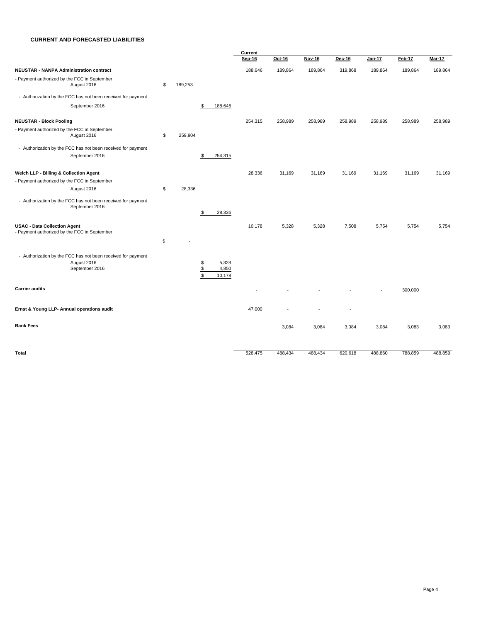#### **CURRENT AND FORECASTED LIABILITIES**

|                                                                                     |               |                                         | Current |         |               |         |         |         |               |  |
|-------------------------------------------------------------------------------------|---------------|-----------------------------------------|---------|---------|---------------|---------|---------|---------|---------------|--|
|                                                                                     |               |                                         | Sep-16  | Oct-16  | <b>Nov-16</b> | Dec-16  | Jan-17  | Feb-17  | <b>Mar-17</b> |  |
| <b>NEUSTAR - NANPA Administration contract</b>                                      |               |                                         | 188,646 | 189,864 | 189,864       | 319,868 | 189,864 | 189,864 | 189,864       |  |
| - Payment authorized by the FCC in September<br>August 2016                         | \$<br>189,253 |                                         |         |         |               |         |         |         |               |  |
| - Authorization by the FCC has not been received for payment                        |               |                                         |         |         |               |         |         |         |               |  |
| September 2016                                                                      |               | 188,646<br>S                            |         |         |               |         |         |         |               |  |
| <b>NEUSTAR - Block Pooling</b>                                                      |               |                                         | 254,315 | 258,989 | 258,989       | 258,989 | 258,989 | 258,989 | 258,989       |  |
| - Payment authorized by the FCC in September<br>August 2016                         | \$<br>259,904 |                                         |         |         |               |         |         |         |               |  |
| - Authorization by the FCC has not been received for payment                        |               |                                         |         |         |               |         |         |         |               |  |
| September 2016                                                                      |               | 254,315<br>S                            |         |         |               |         |         |         |               |  |
| Welch LLP - Billing & Collection Agent                                              |               |                                         | 28,336  | 31,169  | 31,169        | 31,169  | 31,169  | 31,169  | 31,169        |  |
| - Payment authorized by the FCC in September                                        |               |                                         |         |         |               |         |         |         |               |  |
| August 2016                                                                         | \$<br>28,336  |                                         |         |         |               |         |         |         |               |  |
| - Authorization by the FCC has not been received for payment<br>September 2016      |               |                                         |         |         |               |         |         |         |               |  |
|                                                                                     |               | 28,336<br>\$                            |         |         |               |         |         |         |               |  |
| <b>USAC - Data Collection Agent</b><br>- Payment authorized by the FCC in September |               |                                         | 10,178  | 5,328   | 5,328         | 7,508   | 5,754   | 5,754   | 5,754         |  |
|                                                                                     | \$            |                                         |         |         |               |         |         |         |               |  |
| - Authorization by the FCC has not been received for payment                        |               |                                         |         |         |               |         |         |         |               |  |
| August 2016                                                                         |               | \$<br>5,328                             |         |         |               |         |         |         |               |  |
| September 2016                                                                      |               | $$\mathbb{S}$$<br>4,850<br>\$<br>10,178 |         |         |               |         |         |         |               |  |
| <b>Carrier audits</b>                                                               |               |                                         |         |         |               |         |         | 300,000 |               |  |
| Ernst & Young LLP- Annual operations audit                                          |               |                                         | 47,000  |         |               | ÷,      |         |         |               |  |
| <b>Bank Fees</b>                                                                    |               |                                         |         | 3,084   | 3,084         | 3,084   | 3,084   | 3,083   | 3,083         |  |
|                                                                                     |               |                                         |         |         |               |         |         |         |               |  |
| Total                                                                               |               |                                         | 528,475 | 488,434 | 488,434       | 620,618 | 488,860 | 788,859 | 488,859       |  |